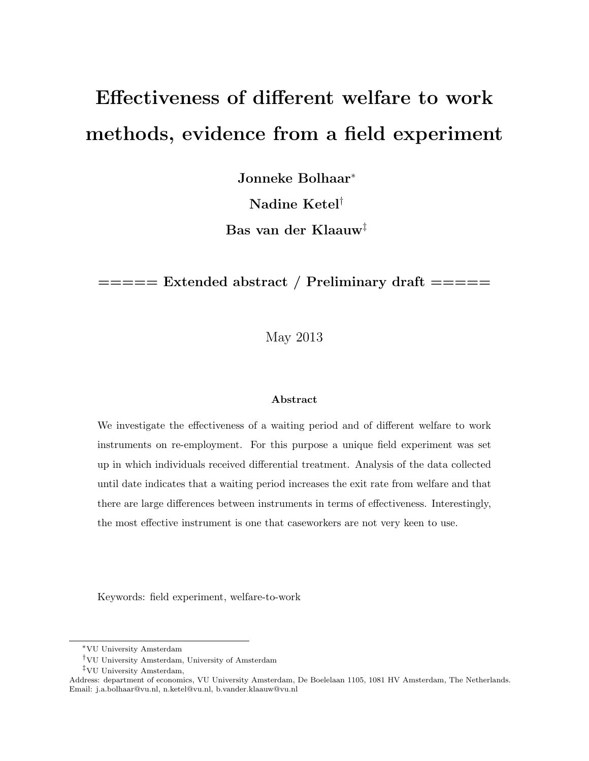# Effectiveness of different welfare to work methods, evidence from a field experiment

Jonneke Bolhaar<sup>∗</sup>

Nadine Ketel†

Bas van der Klaauw‡

 $=$   $=$   $=$   $=$   $=$   $\frac{1}{2}$   $\frac{1}{2}$   $\frac{1}{2}$   $\frac{1}{2}$   $\frac{1}{2}$   $\frac{1}{2}$   $\frac{1}{2}$   $\frac{1}{2}$   $\frac{1}{2}$   $\frac{1}{2}$   $\frac{1}{2}$   $\frac{1}{2}$   $\frac{1}{2}$   $\frac{1}{2}$   $\frac{1}{2}$   $\frac{1}{2}$   $\frac{1}{2}$   $\frac{1}{2}$   $\frac{1}{2}$   $\frac{1}{2}$ 

May 2013

#### Abstract

We investigate the effectiveness of a waiting period and of different welfare to work instruments on re-employment. For this purpose a unique field experiment was set up in which individuals received differential treatment. Analysis of the data collected until date indicates that a waiting period increases the exit rate from welfare and that there are large differences between instruments in terms of effectiveness. Interestingly, the most effective instrument is one that caseworkers are not very keen to use.

Keywords: field experiment, welfare-to-work

<sup>∗</sup>VU University Amsterdam

<sup>†</sup>VU University Amsterdam, University of Amsterdam

<sup>‡</sup>VU University Amsterdam,

Address: department of economics, VU University Amsterdam, De Boelelaan 1105, 1081 HV Amsterdam, The Netherlands. Email: j.a.bolhaar@vu.nl, n.ketel@vu.nl, b.vander.klaauw@vu.nl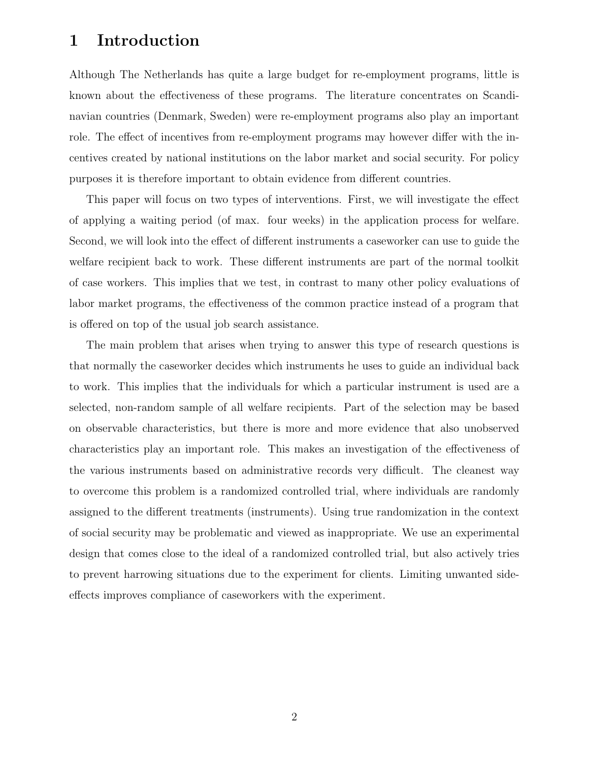# 1 Introduction

Although The Netherlands has quite a large budget for re-employment programs, little is known about the effectiveness of these programs. The literature concentrates on Scandinavian countries (Denmark, Sweden) were re-employment programs also play an important role. The effect of incentives from re-employment programs may however differ with the incentives created by national institutions on the labor market and social security. For policy purposes it is therefore important to obtain evidence from different countries.

This paper will focus on two types of interventions. First, we will investigate the effect of applying a waiting period (of max. four weeks) in the application process for welfare. Second, we will look into the effect of different instruments a caseworker can use to guide the welfare recipient back to work. These different instruments are part of the normal toolkit of case workers. This implies that we test, in contrast to many other policy evaluations of labor market programs, the effectiveness of the common practice instead of a program that is offered on top of the usual job search assistance.

The main problem that arises when trying to answer this type of research questions is that normally the caseworker decides which instruments he uses to guide an individual back to work. This implies that the individuals for which a particular instrument is used are a selected, non-random sample of all welfare recipients. Part of the selection may be based on observable characteristics, but there is more and more evidence that also unobserved characteristics play an important role. This makes an investigation of the effectiveness of the various instruments based on administrative records very difficult. The cleanest way to overcome this problem is a randomized controlled trial, where individuals are randomly assigned to the different treatments (instruments). Using true randomization in the context of social security may be problematic and viewed as inappropriate. We use an experimental design that comes close to the ideal of a randomized controlled trial, but also actively tries to prevent harrowing situations due to the experiment for clients. Limiting unwanted sideeffects improves compliance of caseworkers with the experiment.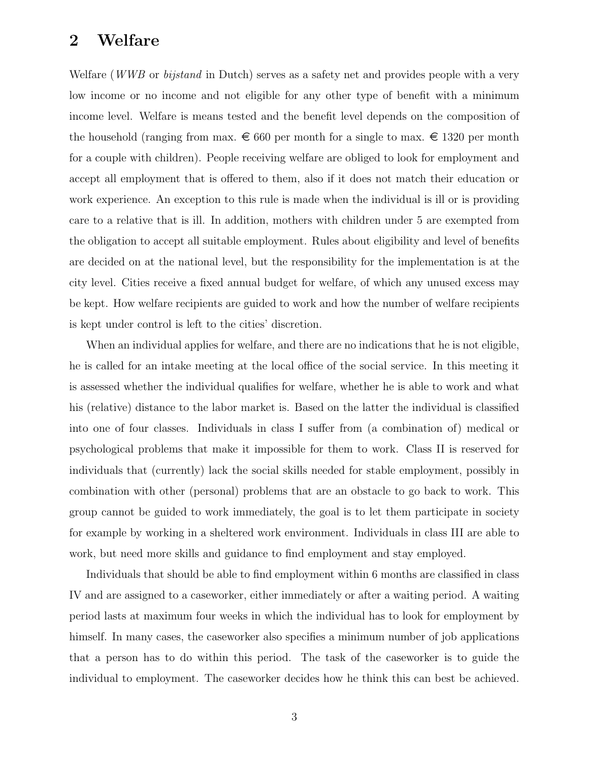#### 2 Welfare

Welfare (*WWB* or *bijstand* in Dutch) serves as a safety net and provides people with a very low income or no income and not eligible for any other type of benefit with a minimum income level. Welfare is means tested and the benefit level depends on the composition of the household (ranging from max.  $\epsilon$  660 per month for a single to max.  $\epsilon$  1320 per month for a couple with children). People receiving welfare are obliged to look for employment and accept all employment that is offered to them, also if it does not match their education or work experience. An exception to this rule is made when the individual is ill or is providing care to a relative that is ill. In addition, mothers with children under 5 are exempted from the obligation to accept all suitable employment. Rules about eligibility and level of benefits are decided on at the national level, but the responsibility for the implementation is at the city level. Cities receive a fixed annual budget for welfare, of which any unused excess may be kept. How welfare recipients are guided to work and how the number of welfare recipients is kept under control is left to the cities' discretion.

When an individual applies for welfare, and there are no indications that he is not eligible, he is called for an intake meeting at the local office of the social service. In this meeting it is assessed whether the individual qualifies for welfare, whether he is able to work and what his (relative) distance to the labor market is. Based on the latter the individual is classified into one of four classes. Individuals in class I suffer from (a combination of) medical or psychological problems that make it impossible for them to work. Class II is reserved for individuals that (currently) lack the social skills needed for stable employment, possibly in combination with other (personal) problems that are an obstacle to go back to work. This group cannot be guided to work immediately, the goal is to let them participate in society for example by working in a sheltered work environment. Individuals in class III are able to work, but need more skills and guidance to find employment and stay employed.

Individuals that should be able to find employment within 6 months are classified in class IV and are assigned to a caseworker, either immediately or after a waiting period. A waiting period lasts at maximum four weeks in which the individual has to look for employment by himself. In many cases, the caseworker also specifies a minimum number of job applications that a person has to do within this period. The task of the caseworker is to guide the individual to employment. The caseworker decides how he think this can best be achieved.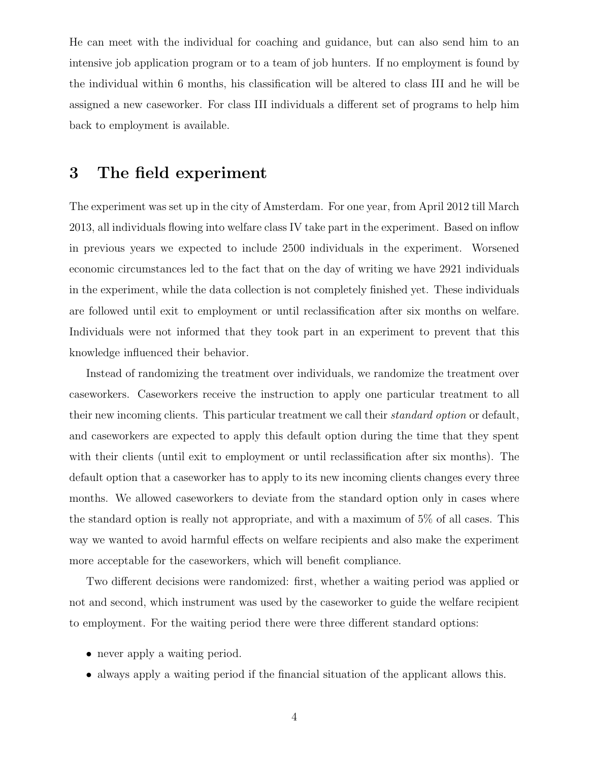He can meet with the individual for coaching and guidance, but can also send him to an intensive job application program or to a team of job hunters. If no employment is found by the individual within 6 months, his classification will be altered to class III and he will be assigned a new caseworker. For class III individuals a different set of programs to help him back to employment is available.

# 3 The field experiment

The experiment was set up in the city of Amsterdam. For one year, from April 2012 till March 2013, all individuals flowing into welfare class IV take part in the experiment. Based on inflow in previous years we expected to include 2500 individuals in the experiment. Worsened economic circumstances led to the fact that on the day of writing we have 2921 individuals in the experiment, while the data collection is not completely finished yet. These individuals are followed until exit to employment or until reclassification after six months on welfare. Individuals were not informed that they took part in an experiment to prevent that this knowledge influenced their behavior.

Instead of randomizing the treatment over individuals, we randomize the treatment over caseworkers. Caseworkers receive the instruction to apply one particular treatment to all their new incoming clients. This particular treatment we call their standard option or default, and caseworkers are expected to apply this default option during the time that they spent with their clients (until exit to employment or until reclassification after six months). The default option that a caseworker has to apply to its new incoming clients changes every three months. We allowed caseworkers to deviate from the standard option only in cases where the standard option is really not appropriate, and with a maximum of 5% of all cases. This way we wanted to avoid harmful effects on welfare recipients and also make the experiment more acceptable for the caseworkers, which will benefit compliance.

Two different decisions were randomized: first, whether a waiting period was applied or not and second, which instrument was used by the caseworker to guide the welfare recipient to employment. For the waiting period there were three different standard options:

- never apply a waiting period.
- always apply a waiting period if the financial situation of the applicant allows this.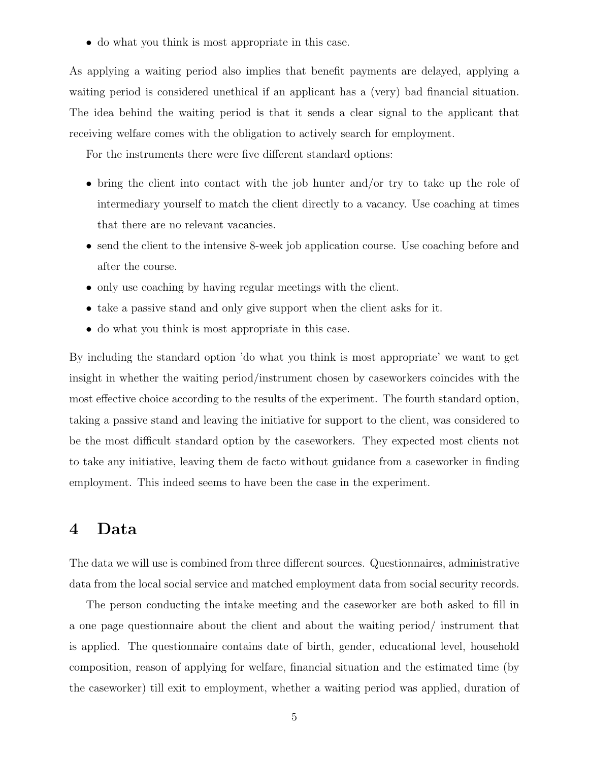• do what you think is most appropriate in this case.

As applying a waiting period also implies that benefit payments are delayed, applying a waiting period is considered unethical if an applicant has a (very) bad financial situation. The idea behind the waiting period is that it sends a clear signal to the applicant that receiving welfare comes with the obligation to actively search for employment.

For the instruments there were five different standard options:

- bring the client into contact with the job hunter and/or try to take up the role of intermediary yourself to match the client directly to a vacancy. Use coaching at times that there are no relevant vacancies.
- send the client to the intensive 8-week job application course. Use coaching before and after the course.
- only use coaching by having regular meetings with the client.
- take a passive stand and only give support when the client asks for it.
- do what you think is most appropriate in this case.

By including the standard option 'do what you think is most appropriate' we want to get insight in whether the waiting period/instrument chosen by caseworkers coincides with the most effective choice according to the results of the experiment. The fourth standard option, taking a passive stand and leaving the initiative for support to the client, was considered to be the most difficult standard option by the caseworkers. They expected most clients not to take any initiative, leaving them de facto without guidance from a caseworker in finding employment. This indeed seems to have been the case in the experiment.

# 4 Data

The data we will use is combined from three different sources. Questionnaires, administrative data from the local social service and matched employment data from social security records.

The person conducting the intake meeting and the caseworker are both asked to fill in a one page questionnaire about the client and about the waiting period/ instrument that is applied. The questionnaire contains date of birth, gender, educational level, household composition, reason of applying for welfare, financial situation and the estimated time (by the caseworker) till exit to employment, whether a waiting period was applied, duration of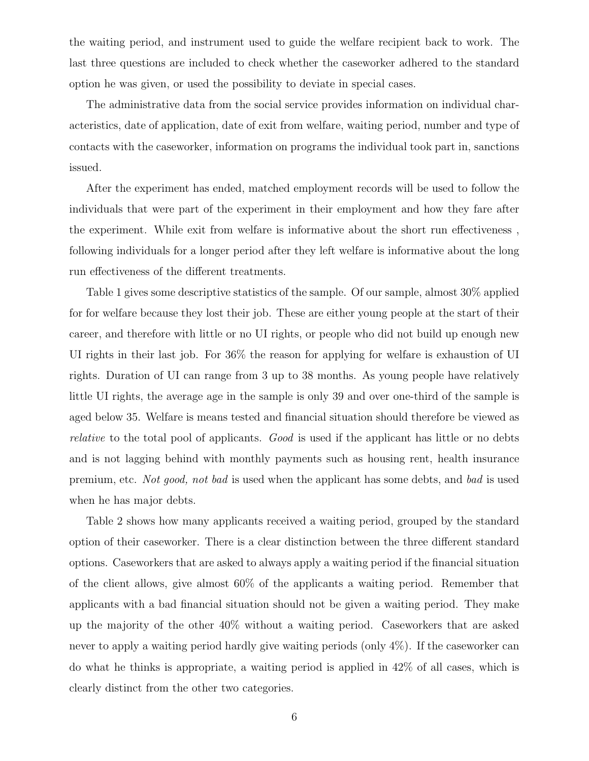the waiting period, and instrument used to guide the welfare recipient back to work. The last three questions are included to check whether the caseworker adhered to the standard option he was given, or used the possibility to deviate in special cases.

The administrative data from the social service provides information on individual characteristics, date of application, date of exit from welfare, waiting period, number and type of contacts with the caseworker, information on programs the individual took part in, sanctions issued.

After the experiment has ended, matched employment records will be used to follow the individuals that were part of the experiment in their employment and how they fare after the experiment. While exit from welfare is informative about the short run effectiveness , following individuals for a longer period after they left welfare is informative about the long run effectiveness of the different treatments.

Table 1 gives some descriptive statistics of the sample. Of our sample, almost 30% applied for for welfare because they lost their job. These are either young people at the start of their career, and therefore with little or no UI rights, or people who did not build up enough new UI rights in their last job. For 36% the reason for applying for welfare is exhaustion of UI rights. Duration of UI can range from 3 up to 38 months. As young people have relatively little UI rights, the average age in the sample is only 39 and over one-third of the sample is aged below 35. Welfare is means tested and financial situation should therefore be viewed as relative to the total pool of applicants. Good is used if the applicant has little or no debts and is not lagging behind with monthly payments such as housing rent, health insurance premium, etc. Not good, not bad is used when the applicant has some debts, and bad is used when he has major debts.

Table 2 shows how many applicants received a waiting period, grouped by the standard option of their caseworker. There is a clear distinction between the three different standard options. Caseworkers that are asked to always apply a waiting period if the financial situation of the client allows, give almost 60% of the applicants a waiting period. Remember that applicants with a bad financial situation should not be given a waiting period. They make up the majority of the other 40% without a waiting period. Caseworkers that are asked never to apply a waiting period hardly give waiting periods (only 4%). If the caseworker can do what he thinks is appropriate, a waiting period is applied in 42% of all cases, which is clearly distinct from the other two categories.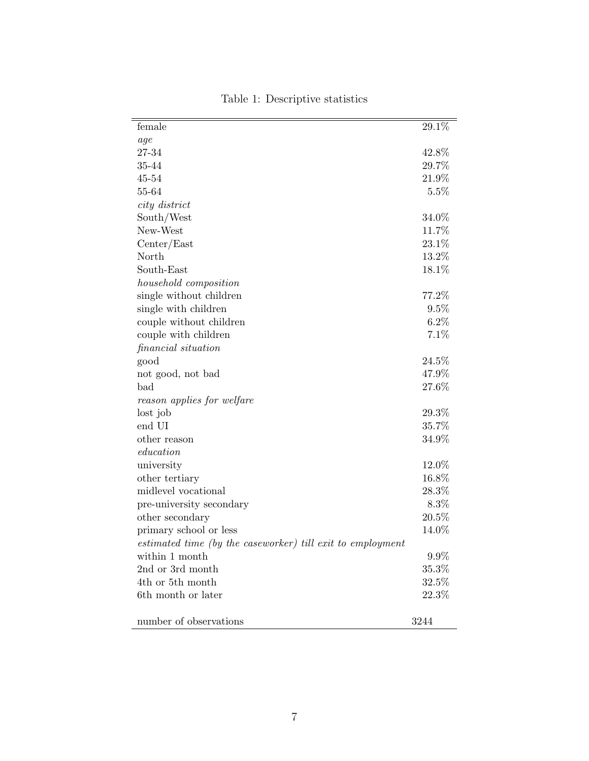| female                                                     | 29.1%    |
|------------------------------------------------------------|----------|
| age                                                        |          |
| 27-34                                                      | 42.8%    |
| 35-44                                                      | 29.7%    |
| $45 - 54$                                                  | 21.9%    |
| 55-64                                                      | 5.5%     |
| city district                                              |          |
| South/West                                                 | 34.0%    |
| New-West                                                   | 11.7%    |
| Center/East                                                | 23.1%    |
| North                                                      | 13.2%    |
| South-East                                                 | 18.1%    |
| household composition                                      |          |
| single without children                                    | 77.2%    |
| single with children                                       | 9.5%     |
| couple without children                                    | 6.2%     |
| couple with children                                       | 7.1%     |
| financial situation                                        |          |
| good                                                       | 24.5%    |
| not good, not bad                                          | 47.9%    |
| bad                                                        | 27.6%    |
| reason applies for welfare                                 |          |
| lost job                                                   | 29.3%    |
| end UI                                                     | 35.7%    |
| other reason                                               | 34.9%    |
| education                                                  |          |
| university                                                 | 12.0%    |
| other tertiary                                             | 16.8%    |
| midlevel vocational                                        | 28.3%    |
| pre-university secondary                                   | 8.3%     |
| other secondary                                            | 20.5%    |
| primary school or less                                     | 14.0%    |
| estimated time (by the caseworker) till exit to employment |          |
| within 1 month                                             | 9.9%     |
| 2nd or 3rd month                                           | 35.3%    |
| 4th or 5th month                                           | 32.5%    |
| 6th month or later                                         | $22.3\%$ |
|                                                            |          |
| number of observations                                     | 3244     |

Table 1: Descriptive statistics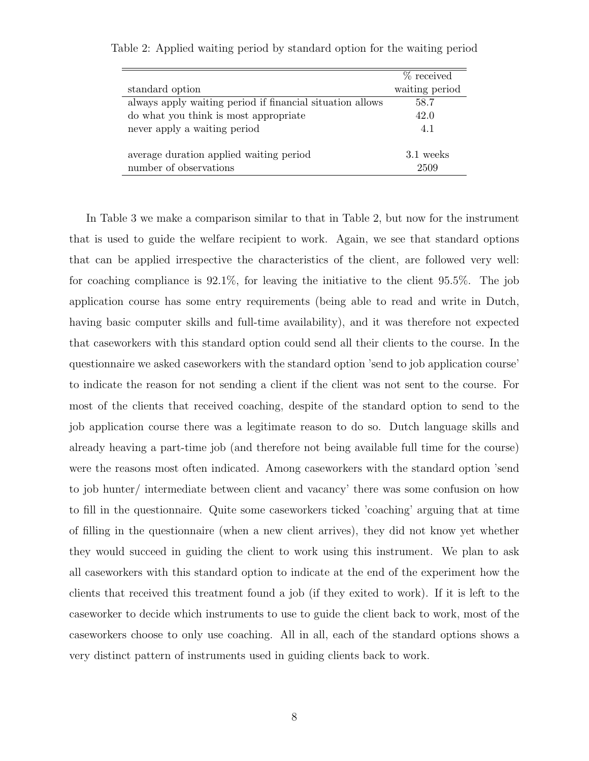|                                                           | $%$ received   |
|-----------------------------------------------------------|----------------|
| standard option                                           | waiting period |
| always apply waiting period if financial situation allows | 58.7           |
| do what you think is most appropriate                     | 42.0           |
| never apply a waiting period                              | 4.1            |
|                                                           |                |
| average duration applied waiting period                   | 3.1 weeks      |
| number of observations                                    | 2509           |

Table 2: Applied waiting period by standard option for the waiting period

In Table 3 we make a comparison similar to that in Table 2, but now for the instrument that is used to guide the welfare recipient to work. Again, we see that standard options that can be applied irrespective the characteristics of the client, are followed very well: for coaching compliance is 92.1%, for leaving the initiative to the client 95.5%. The job application course has some entry requirements (being able to read and write in Dutch, having basic computer skills and full-time availability), and it was therefore not expected that caseworkers with this standard option could send all their clients to the course. In the questionnaire we asked caseworkers with the standard option 'send to job application course' to indicate the reason for not sending a client if the client was not sent to the course. For most of the clients that received coaching, despite of the standard option to send to the job application course there was a legitimate reason to do so. Dutch language skills and already heaving a part-time job (and therefore not being available full time for the course) were the reasons most often indicated. Among caseworkers with the standard option 'send to job hunter/ intermediate between client and vacancy' there was some confusion on how to fill in the questionnaire. Quite some caseworkers ticked 'coaching' arguing that at time of filling in the questionnaire (when a new client arrives), they did not know yet whether they would succeed in guiding the client to work using this instrument. We plan to ask all caseworkers with this standard option to indicate at the end of the experiment how the clients that received this treatment found a job (if they exited to work). If it is left to the caseworker to decide which instruments to use to guide the client back to work, most of the caseworkers choose to only use coaching. All in all, each of the standard options shows a very distinct pattern of instruments used in guiding clients back to work.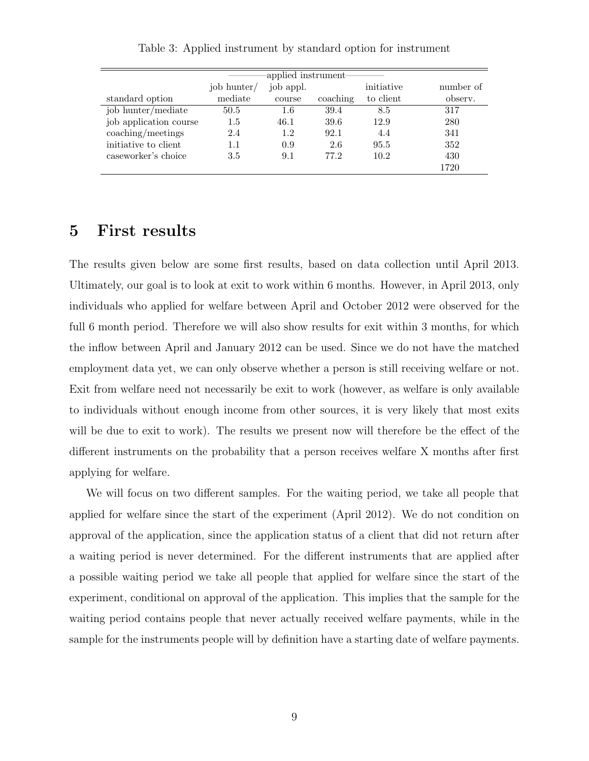|                        | -applied instrument- |           |          |            |           |  |  |  |  |  |
|------------------------|----------------------|-----------|----------|------------|-----------|--|--|--|--|--|
|                        | job hunter/          | job appl. |          | initiative | number of |  |  |  |  |  |
| standard option        | mediate              | course    | coaching | to client  | observ.   |  |  |  |  |  |
| job hunter/mediate     | 50.5                 | 1.6       | 39.4     | 8.5        | 317       |  |  |  |  |  |
| job application course | $1.5\,$              | 46.1      | 39.6     | 12.9       | 280       |  |  |  |  |  |
| coaching/meetings      | 2.4                  | 1.2       | 92.1     | 4.4        | 341       |  |  |  |  |  |
| initiative to client   | 1.1                  | 0.9       | 2.6      | 95.5       | 352       |  |  |  |  |  |
| caseworker's choice    | 3.5                  | 9.1       | 77.2     | 10.2       | 430       |  |  |  |  |  |
|                        |                      |           |          |            | 1720      |  |  |  |  |  |

Table 3: Applied instrument by standard option for instrument

# 5 First results

The results given below are some first results, based on data collection until April 2013. Ultimately, our goal is to look at exit to work within 6 months. However, in April 2013, only individuals who applied for welfare between April and October 2012 were observed for the full 6 month period. Therefore we will also show results for exit within 3 months, for which the inflow between April and January 2012 can be used. Since we do not have the matched employment data yet, we can only observe whether a person is still receiving welfare or not. Exit from welfare need not necessarily be exit to work (however, as welfare is only available to individuals without enough income from other sources, it is very likely that most exits will be due to exit to work). The results we present now will therefore be the effect of the different instruments on the probability that a person receives welfare X months after first applying for welfare.

We will focus on two different samples. For the waiting period, we take all people that applied for welfare since the start of the experiment (April 2012). We do not condition on approval of the application, since the application status of a client that did not return after a waiting period is never determined. For the different instruments that are applied after a possible waiting period we take all people that applied for welfare since the start of the experiment, conditional on approval of the application. This implies that the sample for the waiting period contains people that never actually received welfare payments, while in the sample for the instruments people will by definition have a starting date of welfare payments.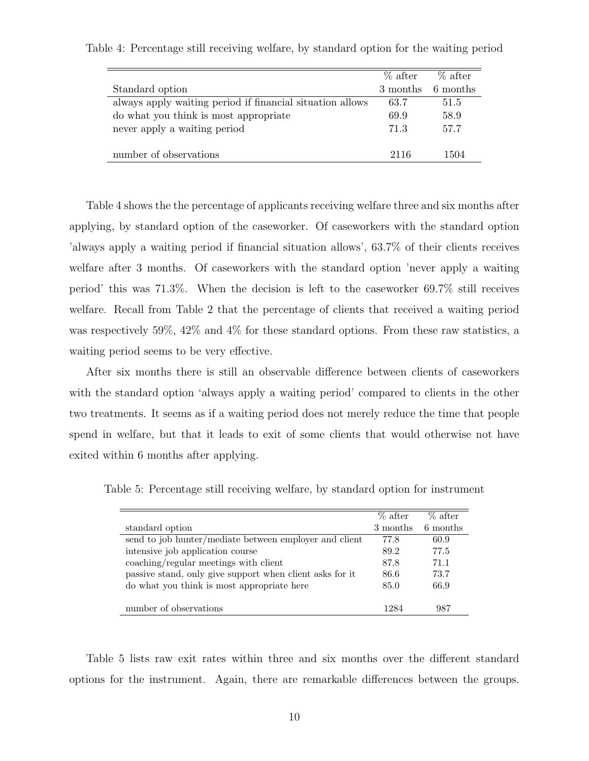|                                                           | $\%$ after | $\%$ after |
|-----------------------------------------------------------|------------|------------|
| Standard option                                           | 3 months   | 6 months   |
| always apply waiting period if financial situation allows | 63.7       | 51.5       |
| do what you think is most appropriate                     | 69.9       | 58.9       |
| never apply a waiting period                              | 71.3       | 57.7       |
| number of observations                                    | 2116       | 1504       |

Table 4: Percentage still receiving welfare, by standard option for the waiting period

Table 4 shows the the percentage of applicants receiving welfare three and six months after applying, by standard option of the caseworker. Of caseworkers with the standard option 'always apply a waiting period if financial situation allows', 63.7% of their clients receives welfare after 3 months. Of caseworkers with the standard option 'never apply a waiting period' this was 71.3%. When the decision is left to the caseworker 69.7% still receives welfare. Recall from Table 2 that the percentage of clients that received a waiting period was respectively 59%, 42% and 4% for these standard options. From these raw statistics, a waiting period seems to be very effective.

After six months there is still an observable difference between clients of caseworkers with the standard option 'always apply a waiting period' compared to clients in the other

two treatments. It seems as if a waiting period does not merely reduce the time that people spend in welfare, but that it leads to exit of some clients that would otherwise not have exited within 6 months after applying.

Table 5: Percentage still receiving welfare, by standard option for instrument

|                                                          | % after  | $\%$ after |
|----------------------------------------------------------|----------|------------|
| standard option                                          | 3 months | 6 months   |
| send to job hunter/mediate between employer and client   | 77.8     | 60.9       |
| intensive job application course                         | 89.2     | 77.5       |
| coaching/regular meetings with client                    | 87.8     | 71.1       |
| passive stand, only give support when client asks for it | 86.6     | 73.7       |
| do what you think is most appropriate here               | 85.0     | 66.9       |
|                                                          |          |            |
| number of observations                                   | 1984     | 987        |

Table 5 lists raw exit rates within three and six months over the different standard options for the instrument. Again, there are remarkable differences between the groups.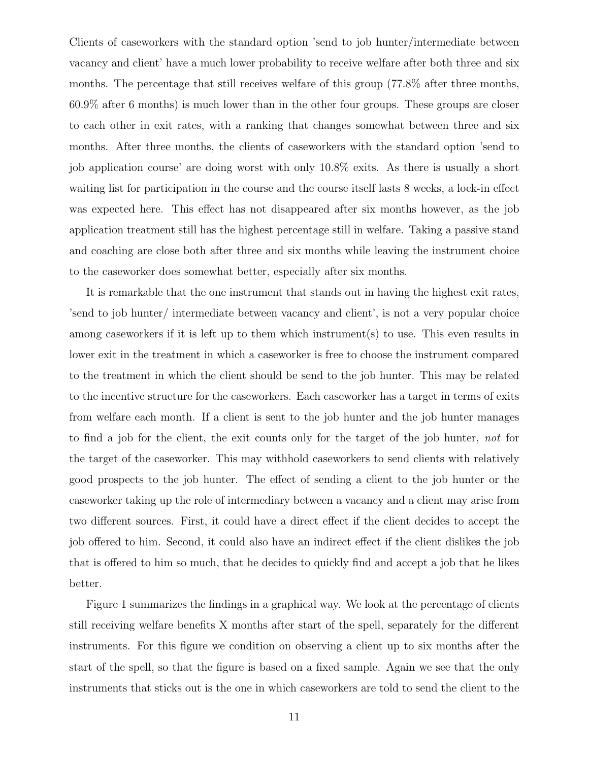Clients of caseworkers with the standard option 'send to job hunter/intermediate between vacancy and client' have a much lower probability to receive welfare after both three and six months. The percentage that still receives welfare of this group (77.8% after three months, 60.9% after 6 months) is much lower than in the other four groups. These groups are closer to each other in exit rates, with a ranking that changes somewhat between three and six months. After three months, the clients of caseworkers with the standard option 'send to job application course' are doing worst with only 10.8% exits. As there is usually a short waiting list for participation in the course and the course itself lasts 8 weeks, a lock-in effect was expected here. This effect has not disappeared after six months however, as the job application treatment still has the highest percentage still in welfare. Taking a passive stand and coaching are close both after three and six months while leaving the instrument choice to the caseworker does somewhat better, especially after six months.

It is remarkable that the one instrument that stands out in having the highest exit rates, 'send to job hunter/ intermediate between vacancy and client', is not a very popular choice among caseworkers if it is left up to them which instrument(s) to use. This even results in lower exit in the treatment in which a caseworker is free to choose the instrument compared to the treatment in which the client should be send to the job hunter. This may be related to the incentive structure for the caseworkers. Each caseworker has a target in terms of exits from welfare each month. If a client is sent to the job hunter and the job hunter manages to find a job for the client, the exit counts only for the target of the job hunter, not for the target of the caseworker. This may withhold caseworkers to send clients with relatively good prospects to the job hunter. The effect of sending a client to the job hunter or the caseworker taking up the role of intermediary between a vacancy and a client may arise from two different sources. First, it could have a direct effect if the client decides to accept the job offered to him. Second, it could also have an indirect effect if the client dislikes the job that is offered to him so much, that he decides to quickly find and accept a job that he likes better.

Figure 1 summarizes the findings in a graphical way. We look at the percentage of clients still receiving welfare benefits X months after start of the spell, separately for the different instruments. For this figure we condition on observing a client up to six months after the start of the spell, so that the figure is based on a fixed sample. Again we see that the only instruments that sticks out is the one in which caseworkers are told to send the client to the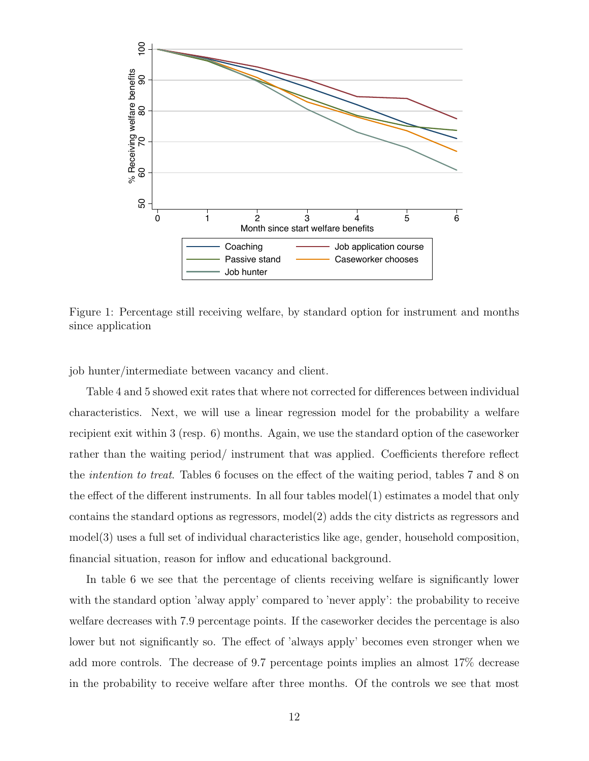

Figure 1: Percentage still receiving welfare, by standard option for instrument and months since application

job hunter/intermediate between vacancy and client.

Table 4 and 5 showed exit rates that where not corrected for differences between individual characteristics. Next, we will use a linear regression model for the probability a welfare recipient exit within 3 (resp. 6) months. Again, we use the standard option of the caseworker rather than the waiting period/ instrument that was applied. Coefficients therefore reflect the intention to treat. Tables 6 focuses on the effect of the waiting period, tables 7 and 8 on the effect of the different instruments. In all four tables model(1) estimates a model that only contains the standard options as regressors, model(2) adds the city districts as regressors and model(3) uses a full set of individual characteristics like age, gender, household composition, financial situation, reason for inflow and educational background.

In table 6 we see that the percentage of clients receiving welfare is significantly lower with the standard option 'alway apply' compared to 'never apply': the probability to receive welfare decreases with 7.9 percentage points. If the caseworker decides the percentage is also lower but not significantly so. The effect of 'always apply' becomes even stronger when we add more controls. The decrease of 9.7 percentage points implies an almost 17% decrease in the probability to receive welfare after three months. Of the controls we see that most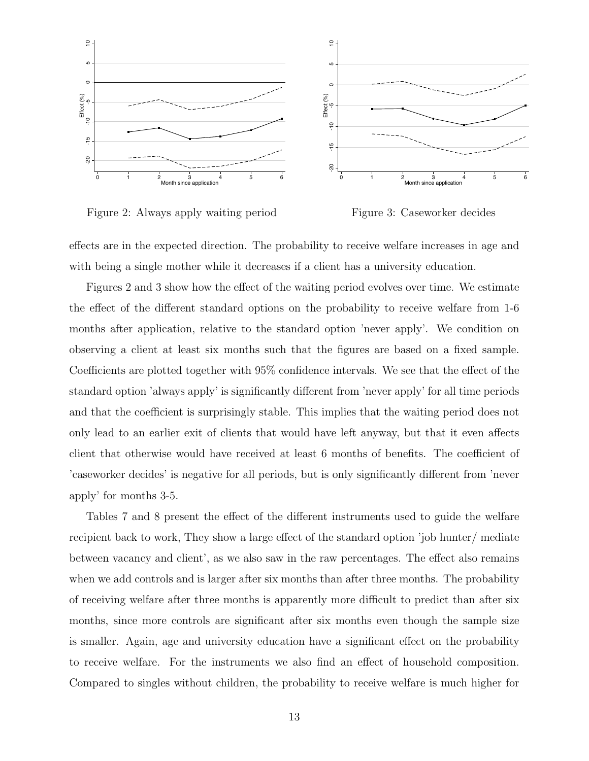

Figure 2: Always apply waiting period

Figure 3: Caseworker decides

effects are in the expected direction. The probability to receive welfare increases in age and with being a single mother while it decreases if a client has a university education.

Figures 2 and 3 show how the effect of the waiting period evolves over time. We estimate the effect of the different standard options on the probability to receive welfare from 1-6 months after application, relative to the standard option 'never apply'. We condition on observing a client at least six months such that the figures are based on a fixed sample. Coefficients are plotted together with 95% confidence intervals. We see that the effect of the standard option 'always apply' is significantly different from 'never apply' for all time periods and that the coefficient is surprisingly stable. This implies that the waiting period does not only lead to an earlier exit of clients that would have left anyway, but that it even affects client that otherwise would have received at least 6 months of benefits. The coefficient of 'caseworker decides' is negative for all periods, but is only significantly different from 'never apply' for months 3-5.

Tables 7 and 8 present the effect of the different instruments used to guide the welfare recipient back to work, They show a large effect of the standard option 'job hunter/ mediate between vacancy and client', as we also saw in the raw percentages. The effect also remains when we add controls and is larger after six months than after three months. The probability of receiving welfare after three months is apparently more difficult to predict than after six months, since more controls are significant after six months even though the sample size is smaller. Again, age and university education have a significant effect on the probability to receive welfare. For the instruments we also find an effect of household composition. Compared to singles without children, the probability to receive welfare is much higher for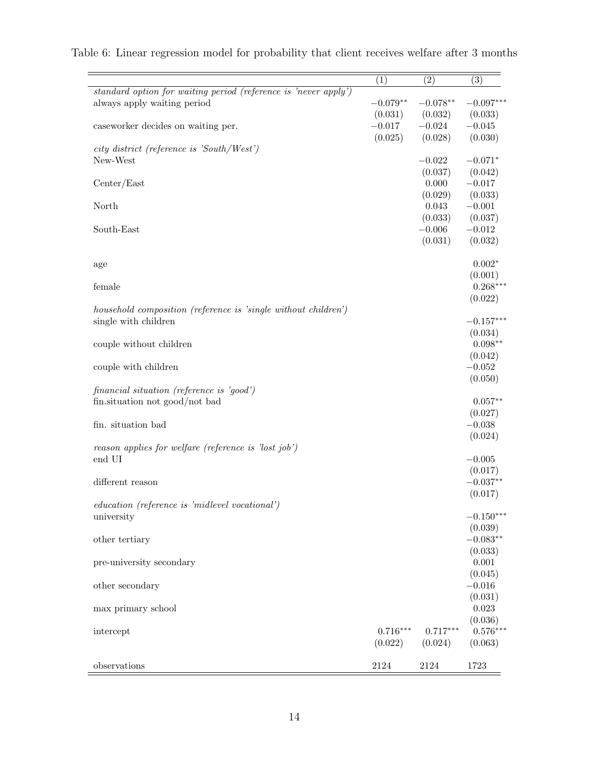|                                                                 | (1)                 | (2)        | (3)         |
|-----------------------------------------------------------------|---------------------|------------|-------------|
| standard option for waiting period (reference is 'never apply') |                     |            |             |
| always apply waiting period                                     | $-0.079**$          | $-0.078**$ | $-0.097***$ |
|                                                                 | (0.031)             | (0.032)    | (0.033)     |
| caseworker decides on waiting per.                              | $-0.017$            | $-0.024$   | $-0.045$    |
|                                                                 | (0.025)             | (0.028)    | (0.030)     |
| city district (reference is 'South/West')                       |                     |            |             |
| New-West                                                        |                     | $-0.022$   | $-0.071*$   |
|                                                                 |                     | (0.037)    | (0.042)     |
| Center/East                                                     |                     | 0.000      | $-0.017$    |
|                                                                 |                     | (0.029)    | (0.033)     |
| North                                                           |                     | 0.043      | $-0.001$    |
|                                                                 |                     | (0.033)    | (0.037)     |
| South-East                                                      |                     | $-0.006$   | $-0.012$    |
|                                                                 |                     | (0.031)    | (0.032)     |
|                                                                 |                     |            |             |
| age                                                             |                     |            | $0.002*$    |
|                                                                 |                     |            | (0.001)     |
| female                                                          |                     |            | $0.268***$  |
|                                                                 |                     |            | (0.022)     |
| household composition (reference is 'single without children')  |                     |            |             |
| single with children                                            |                     |            | $-0.157***$ |
|                                                                 |                     |            | (0.034)     |
| couple without children                                         |                     |            | $0.098**$   |
|                                                                 |                     |            | (0.042)     |
| couple with children                                            |                     |            | $-0.052$    |
|                                                                 |                     |            | (0.050)     |
| financial situation (reference is 'good')                       |                     |            |             |
| fin.situation not good/not bad                                  |                     |            | $0.057**$   |
|                                                                 |                     |            | (0.027)     |
| fin. situation bad                                              |                     |            | $-0.038$    |
|                                                                 |                     |            | (0.024)     |
| reason applies for welfare (reference is 'lost job')            |                     |            |             |
| end UI                                                          |                     |            | $-0.005$    |
|                                                                 |                     |            | (0.017)     |
| different reason                                                |                     |            | $-0.037**$  |
|                                                                 |                     |            | (0.017)     |
| education (reference is 'midlevel vocational')                  |                     |            |             |
| university                                                      |                     |            | $-0.150***$ |
|                                                                 |                     |            | (0.039)     |
| other tertiary                                                  |                     |            | $-0.083**$  |
|                                                                 |                     |            | (0.033)     |
| pre-university secondary                                        |                     |            | 0.001       |
|                                                                 |                     |            | (0.045)     |
| other secondary                                                 |                     |            | $-0.016$    |
|                                                                 |                     |            | (0.031)     |
| max primary school                                              |                     |            | 0.023       |
|                                                                 |                     |            | (0.036)     |
| intercept                                                       | $0.716***$          | $0.717***$ | $0.576***$  |
|                                                                 | (0.022)             | (0.024)    | (0.063)     |
|                                                                 |                     |            |             |
| observations                                                    | $\boldsymbol{2124}$ | 2124       | 1723        |

# Table 6: Linear regression model for probability that client receives welfare after 3 months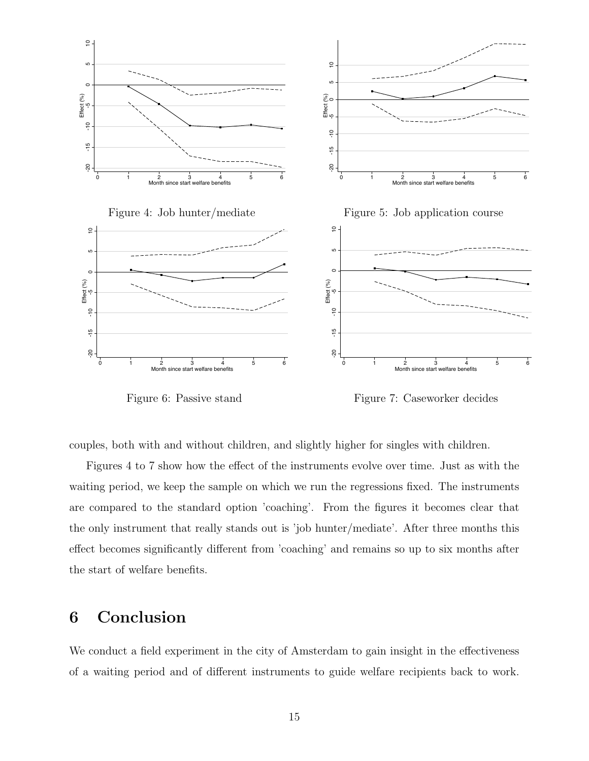

Figure 6: Passive stand

Figure 7: Caseworker decides

couples, both with and without children, and slightly higher for singles with children.

Figures 4 to 7 show how the effect of the instruments evolve over time. Just as with the waiting period, we keep the sample on which we run the regressions fixed. The instruments are compared to the standard option 'coaching'. From the figures it becomes clear that the only instrument that really stands out is 'job hunter/mediate'. After three months this effect becomes significantly different from 'coaching' and remains so up to six months after the start of welfare benefits.

# 6 Conclusion

We conduct a field experiment in the city of Amsterdam to gain insight in the effectiveness of a waiting period and of different instruments to guide welfare recipients back to work.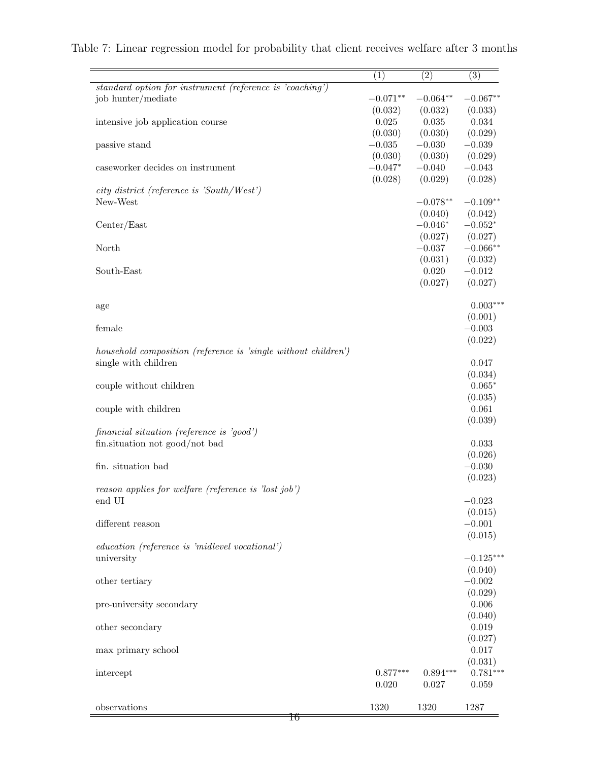|                                                                | (1)                 | (2)                 | (3)                 |
|----------------------------------------------------------------|---------------------|---------------------|---------------------|
| standard option for instrument (reference is 'coaching')       |                     |                     |                     |
| job hunter/mediate                                             | $-0.071**$          | $-0.064**$          | $-0.067**$          |
|                                                                | (0.032)             | (0.032)             | (0.033)             |
| intensive job application course                               | $0.025\,$           | 0.035               | 0.034               |
| passive stand                                                  | (0.030)<br>$-0.035$ | (0.030)<br>$-0.030$ | (0.029)<br>$-0.039$ |
|                                                                | (0.030)             | (0.030)             | (0.029)             |
| caseworker decides on instrument                               | $-0.047*$           | $-0.040$            | $-0.043$            |
|                                                                | (0.028)             | (0.029)             | (0.028)             |
| city district (reference is 'South/West')                      |                     |                     |                     |
| New-West                                                       |                     | $-0.078**$          | $-0.109**$          |
|                                                                |                     | (0.040)             | (0.042)             |
| Center/East                                                    |                     | $-0.046*$           | $-0.052*$           |
|                                                                |                     | (0.027)             | (0.027)             |
| North                                                          |                     | $-0.037$            | $-0.066**$          |
|                                                                |                     | (0.031)             | (0.032)             |
| South-East                                                     |                     | 0.020               | $-0.012$            |
|                                                                |                     | (0.027)             | (0.027)             |
| age                                                            |                     |                     | $0.003***$          |
|                                                                |                     |                     | (0.001)             |
| female                                                         |                     |                     | $-0.003$            |
|                                                                |                     |                     | (0.022)             |
| household composition (reference is 'single without children') |                     |                     |                     |
| single with children                                           |                     |                     | 0.047               |
|                                                                |                     |                     | (0.034)             |
| couple without children                                        |                     |                     | $0.065*$            |
|                                                                |                     |                     | (0.035)<br>0.061    |
| couple with children                                           |                     |                     | (0.039)             |
| financial situation (reference is 'good')                      |                     |                     |                     |
| fin.situation not good/not bad                                 |                     |                     | 0.033               |
|                                                                |                     |                     | (0.026)             |
| fin. situation bad                                             |                     |                     | $-0.030$            |
|                                                                |                     |                     | (0.023)             |
| reason applies for welfare (reference is 'lost job')           |                     |                     |                     |
| $\,$ end UI                                                    |                     |                     | $-0.023$            |
|                                                                |                     |                     | (0.015)             |
| different reason                                               |                     |                     | $-0.001$            |
| education (reference is 'midlevel vocational')                 |                     |                     | (0.015)             |
| university                                                     |                     |                     | $-0.125***$         |
|                                                                |                     |                     | (0.040)             |
| other tertiary                                                 |                     |                     | $-0.002$            |
|                                                                |                     |                     | (0.029)             |
| pre-university secondary                                       |                     |                     | 0.006               |
|                                                                |                     |                     | (0.040)             |
| other secondary                                                |                     |                     | $\,0.019\,$         |
|                                                                |                     |                     | (0.027)             |
| max primary school                                             |                     |                     | 0.017               |
|                                                                |                     |                     | (0.031)             |
| intercept                                                      | $0.877***$          | $0.894***$          | $0.781***$          |
|                                                                | 0.020               | $0.027\,$           | 0.059               |
| observations                                                   | 1320                | 1320                | 1287                |
| Ŧ6                                                             |                     |                     |                     |

|  |  | Table 7: Linear regression model for probability that client receives welfare after 3 months |  |  |  |  |
|--|--|----------------------------------------------------------------------------------------------|--|--|--|--|
|  |  |                                                                                              |  |  |  |  |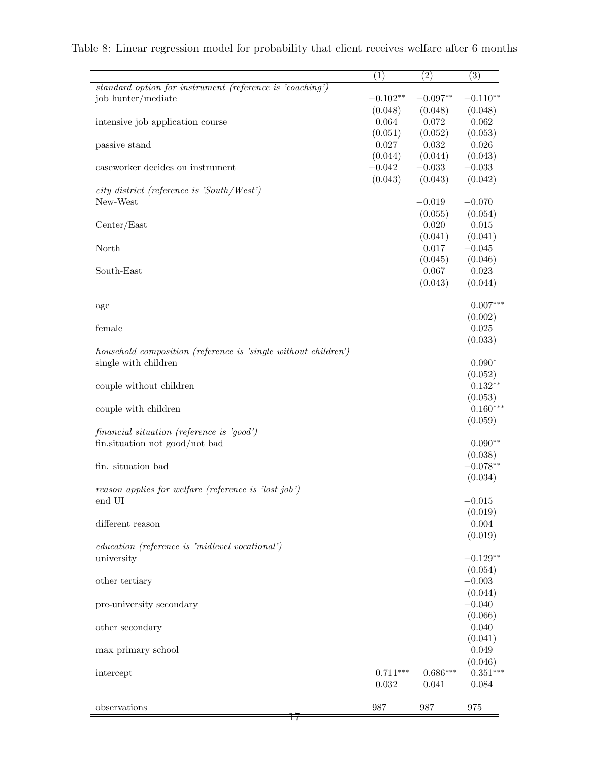|                                                                | (1)        | (2)              | (3)              |
|----------------------------------------------------------------|------------|------------------|------------------|
| standard option for instrument (reference is 'coaching')       |            |                  |                  |
| job hunter/mediate                                             | $-0.102**$ | $-0.097**$       | $-0.110**$       |
|                                                                | (0.048)    | (0.048)          | (0.048)          |
| intensive job application course                               | 0.064      | 0.072            | 0.062            |
|                                                                | (0.051)    | (0.052)          | (0.053)          |
| passive stand                                                  | 0.027      | 0.032            | 0.026            |
|                                                                | (0.044)    | (0.044)          | (0.043)          |
| caseworker decides on instrument                               | $-0.042$   | $-0.033$         | $-0.033$         |
|                                                                | (0.043)    | (0.043)          | (0.042)          |
| city district (reference is 'South/West')                      |            |                  |                  |
| New-West                                                       |            | $-0.019$         | $-0.070$         |
|                                                                |            | (0.055)          | (0.054)          |
| Center/East                                                    |            | 0.020            | 0.015            |
|                                                                |            | (0.041)          | (0.041)          |
| North                                                          |            | 0.017            | $-0.045$         |
| South-East                                                     |            | (0.045)<br>0.067 | (0.046)<br>0.023 |
|                                                                |            | (0.043)          | (0.044)          |
|                                                                |            |                  |                  |
|                                                                |            |                  | $0.007***$       |
| age                                                            |            |                  | (0.002)          |
| female                                                         |            |                  | $\,0.025\,$      |
|                                                                |            |                  | (0.033)          |
| household composition (reference is 'single without children') |            |                  |                  |
| single with children                                           |            |                  | $0.090*$         |
|                                                                |            |                  | (0.052)          |
| couple without children                                        |            |                  | $0.132**$        |
|                                                                |            |                  | (0.053)          |
| couple with children                                           |            |                  | $0.160***$       |
|                                                                |            |                  | (0.059)          |
| financial situation (reference is 'good')                      |            |                  |                  |
| fin.situation not good/not bad                                 |            |                  | $0.090**$        |
|                                                                |            |                  | (0.038)          |
| fin. situation bad                                             |            |                  | $-0.078**$       |
|                                                                |            |                  | (0.034)          |
| reason applies for welfare (reference is 'lost job')           |            |                  |                  |
| end UI                                                         |            |                  | $-0.015$         |
|                                                                |            |                  | (0.019)          |
| different reason                                               |            |                  | 0.004            |
|                                                                |            |                  | (0.019)          |
| education (reference is 'midlevel vocational')                 |            |                  |                  |
| university                                                     |            |                  | $-0.129**$       |
|                                                                |            |                  | (0.054)          |
| other tertiary                                                 |            |                  | $-0.003$         |
|                                                                |            |                  | (0.044)          |
| pre-university secondary                                       |            |                  | $-0.040$         |
|                                                                |            |                  | (0.066)          |
| other secondary                                                |            |                  | 0.040            |
|                                                                |            |                  | (0.041)          |
| max primary school                                             |            |                  | 0.049            |
|                                                                |            |                  | (0.046)          |
| intercept                                                      | $0.711***$ | $0.686***$       | $0.351***$       |
|                                                                | 0.032      | 0.041            | 0.084            |
| observations                                                   | 987        | 987              | 975              |
| Ŧ7                                                             |            |                  |                  |

|  |  | Table 8: Linear regression model for probability that client receives welfare after 6 months |  |  |  |  |
|--|--|----------------------------------------------------------------------------------------------|--|--|--|--|
|  |  |                                                                                              |  |  |  |  |